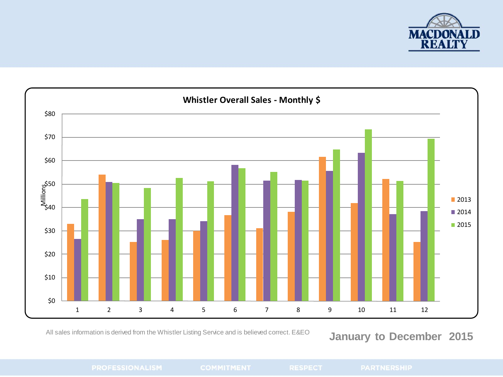

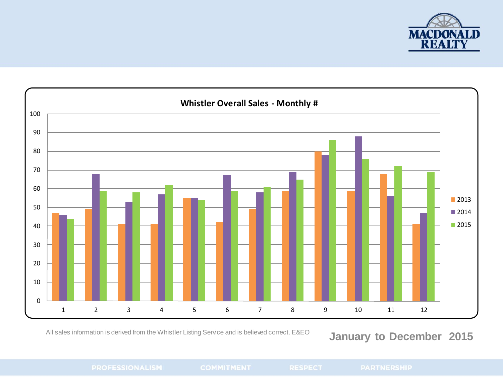

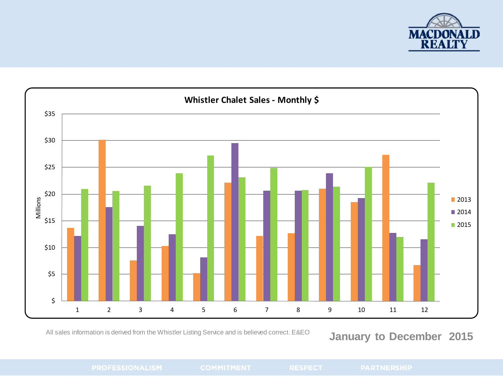

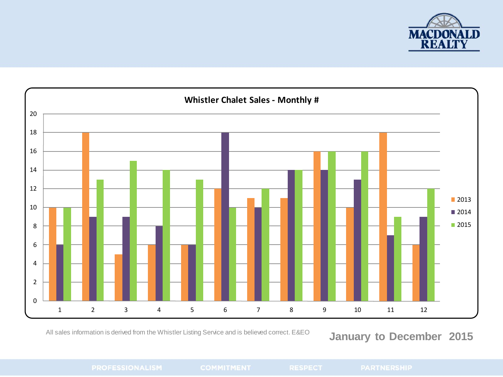

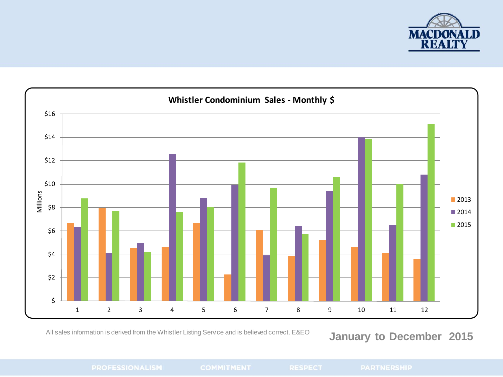

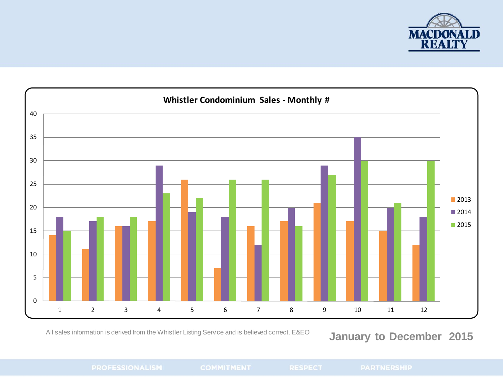

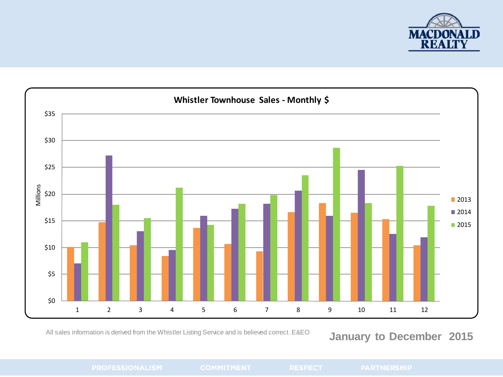

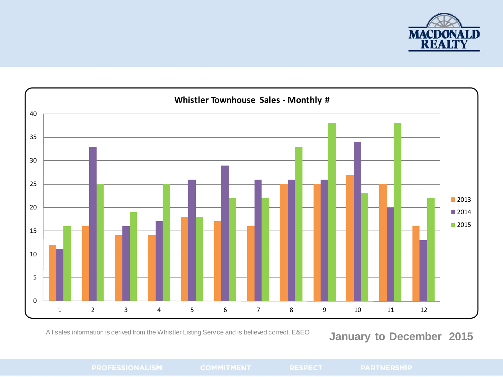

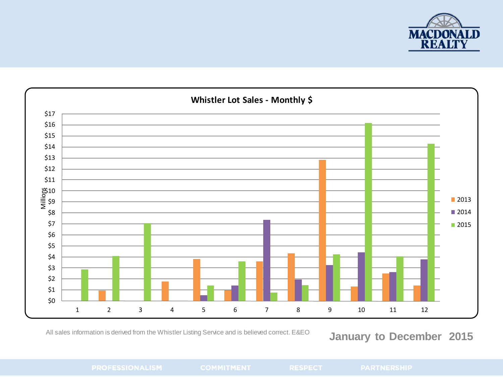

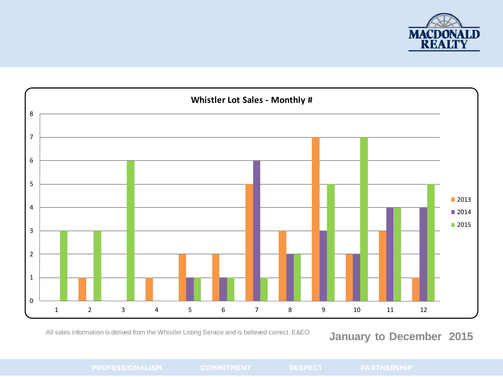

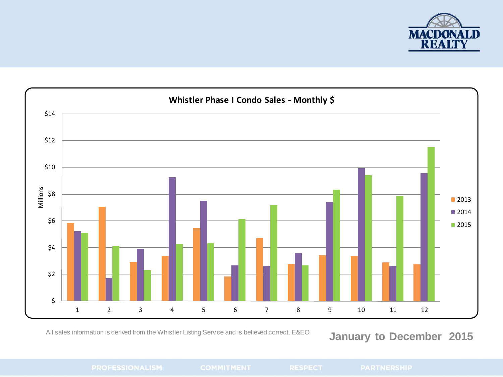

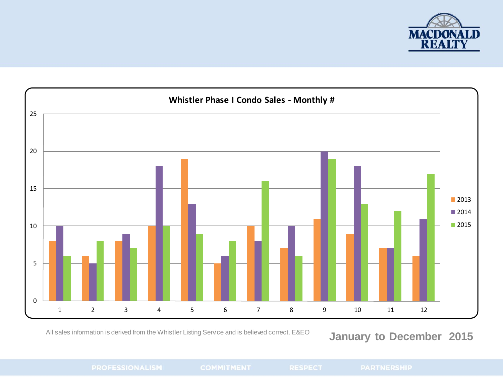

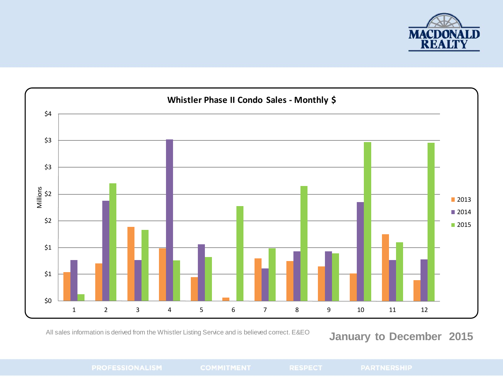